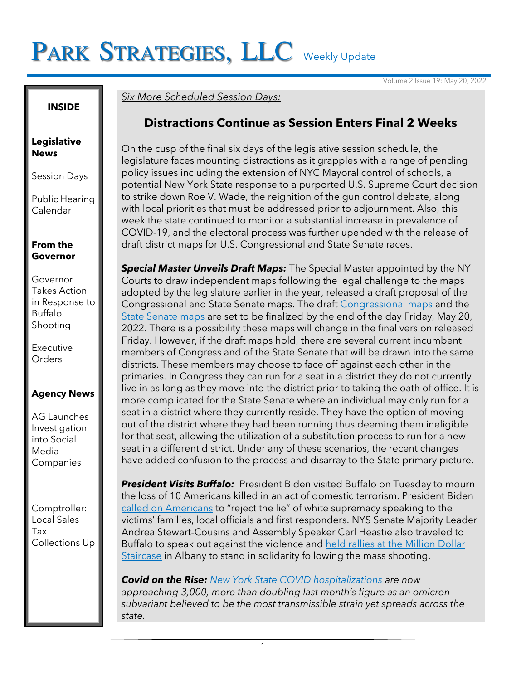# PARK STRATEGIES, LLC Weekly Update

Volume 2 Issue 19: May 20, 2022

#### **INSIDE**

#### **Legislative News**

Session Days

Public Hearing Calendar

### **From the Governor**

Governor Takes Action in Response to Buffalo Shooting

Executive **Orders** 

## **Agency News**

AG Launches Investigation into Social Media Companies

Comptroller: Local Sales Tax Collections Up

## *Six More Scheduled Session Days:*

# **Distractions Continue as Session Enters Final 2 Weeks**

On the cusp of the final six days of the legislative session schedule, the legislature faces mounting distractions as it grapples with a range of pending policy issues including the extension of NYC Mayoral control of schools, a potential New York State response to a purported U.S. Supreme Court decision to strike down Roe V. Wade, the reignition of the gun control debate, along with local priorities that must be addressed prior to adjournment. Also, this week the state continued to monitor a substantial increase in prevalence of COVID-19, and the electoral process was further upended with the release of draft district maps for U.S. Congressional and State Senate races.

**Special Master Unveils Draft Maps:** The Special Master appointed by the NY Courts to draw independent maps following the legal challenge to the maps adopted by the legislature earlier in the year, released a draft proposal of the Congressional and State Senate maps. The draft Congressional maps and the State Senate maps are set to be finalized by the end of the day Friday, May 20, 2022. There is a possibility these maps will change in the final version released Friday. However, if the draft maps hold, there are several current incumbent members of Congress and of the State Senate that will be drawn into the same districts. These members may choose to face off against each other in the primaries. In Congress they can run for a seat in a district they do not currently live in as long as they move into the district prior to taking the oath of office. It is more complicated for the State Senate where an individual may only run for a seat in a district where they currently reside. They have the option of moving out of the district where they had been running thus deeming them ineligible for that seat, allowing the utilization of a substitution process to run for a new seat in a different district. Under any of these scenarios, the recent changes have added confusion to the process and disarray to the State primary picture.

*President Visits Buffalo:* President Biden visited Buffalo on Tuesday to mourn the loss of 10 Americans killed in an act of domestic terrorism. President Biden called on Americans to "reject the lie" of white supremacy speaking to the victims' families, local officials and first responders. NYS Senate Majority Leader Andrea Stewart-Cousins and Assembly Speaker Carl Heastie also traveled to Buffalo to speak out against the violence and held rallies at the Million Dollar Staircase in Albany to stand in solidarity following the mass shooting.

*Covid on the Rise: New York State COVID hospitalizations are now approaching 3,000, more than doubling last month's figure as an omicron subvariant believed to be the most transmissible strain yet spreads across the state.*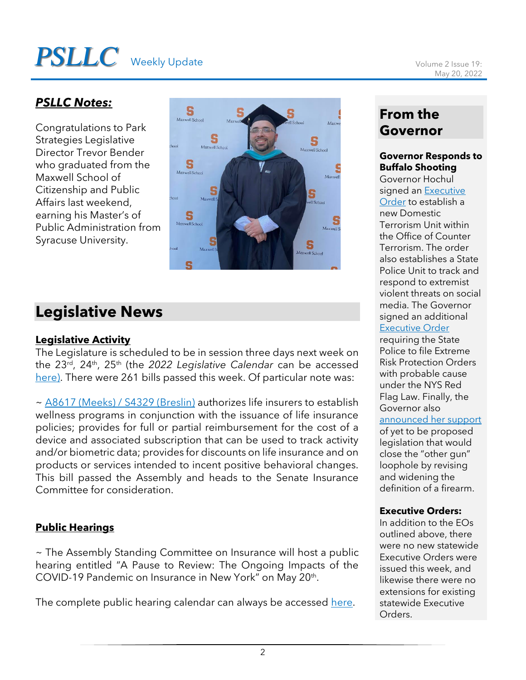# **PSLLC** Weekly Update Volume 2 Issue 19:

## *PSLLC Notes:*

Congratulations to Park Strategies Legislative Director Trevor Bender who graduated from the Maxwell School of Citizenship and Public Affairs last weekend, earning his Master's of Public Administration from Syracuse University.



# **Legislative News**

## **Legislative Activity**

The Legislature is scheduled to be in session three days next week on the 23<sup>rd</sup>, 24<sup>th</sup>, 25<sup>th</sup> (the 2022 Legislative Calendar can be accessed here). There were 261 bills passed this week. Of particular note was:

~ A8617 (Meeks) / S4329 (Breslin) authorizes life insurers to establish wellness programs in conjunction with the issuance of life insurance policies; provides for full or partial reimbursement for the cost of a device and associated subscription that can be used to track activity and/or biometric data; provides for discounts on life insurance and on products or services intended to incent positive behavioral changes. This bill passed the Assembly and heads to the Senate Insurance Committee for consideration.

## **Public Hearings**

~ The Assembly Standing Committee on Insurance will host a public hearing entitled "A Pause to Review: The Ongoing Impacts of the COVID-19 Pandemic on Insurance in New York" on May 20<sup>th</sup>.

The complete public hearing calendar can always be accessed here.

# **From the Governor**

### **Governor Responds to Buffalo Shooting**

Governor Hochul signed an Executive Order to establish a new Domestic Terrorism Unit within the Office of Counter Terrorism. The order also establishes a State Police Unit to track and respond to extremist violent threats on social media. The Governor signed an additional Executive Order

requiring the State Police to file Extreme Risk Protection Orders with probable cause under the NYS Red Flag Law. Finally, the Governor also

#### announced her support

of yet to be proposed legislation that would close the "other gun" loophole by revising and widening the definition of a firearm.

#### **Executive Orders:**

In addition to the EOs outlined above, there were no new statewide Executive Orders were issued this week, and likewise there were no extensions for existing statewide Executive Orders.